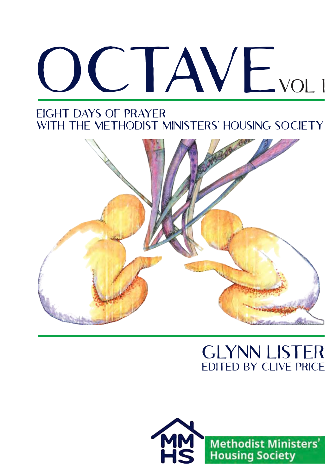# OCTAVE VOLI

## Eight days of prayer WITH THE METHODIST MINISTERS' HOUSING SOCIETY



# Glynn Lister Edited by Clive Price

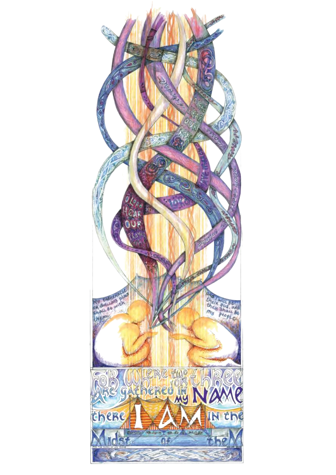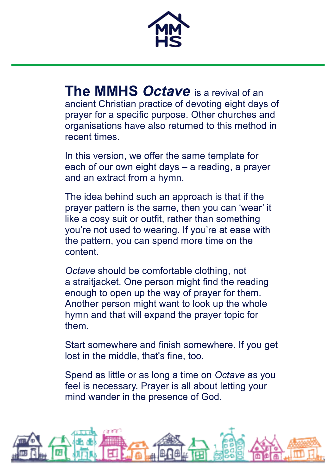

**The MMHS** *Octave* is a revival of an ancient Christian practice of devoting eight days of prayer for a specific purpose. Other churches and organisations have also returned to this method in recent times.

In this version, we offer the same template for each of our own eight days – a reading, a prayer and an extract from a hymn.

The idea behind such an approach is that if the prayer pattern is the same, then you can 'wear' it like a cosy suit or outfit, rather than something you're not used to wearing. If you're at ease with the pattern, you can spend more time on the content.

*Octave* should be comfortable clothing, not a straitjacket. One person might find the reading enough to open up the way of prayer for them. Another person might want to look up the whole hymn and that will expand the prayer topic for them.

Start somewhere and finish somewhere. If you get lost in the middle, that's fine, too.

Spend as little or as long a time on *Octave* as you feel is necessary. Prayer is all about letting your mind wander in the presence of God.

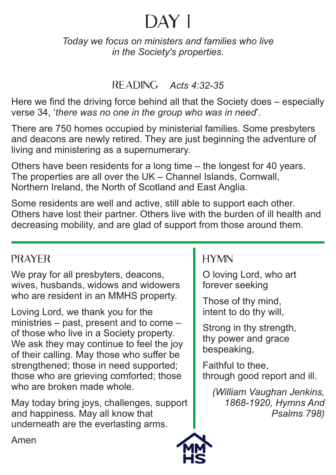*Today we focus on ministers and families who live in the Society's properties.*

#### Reading *Acts 4:32-35*

Here we find the driving force behind all that the Society does – especially verse 34, '*there was no one in the group who was in need*'.

There are 750 homes occupied by ministerial families. Some presbyters and deacons are newly retired. They are just beginning the adventure of living and ministering as a supernumerary.

Others have been residents for a long time – the longest for 40 years. The properties are all over the UK – Channel Islands, Cornwall, Northern Ireland, the North of Scotland and East Anglia.

Some residents are well and active, still able to support each other. Others have lost their partner. Others live with the burden of ill health and decreasing mobility, and are glad of support from those around them.

#### **PRAYER**

We pray for all presbyters, deacons, wives, husbands, widows and widowers who are resident in an MMHS property.

Loving Lord, we thank you for the ministries – past, present and to come – of those who live in a Society property. We ask they may continue to feel the joy of their calling. May those who suffer be strengthened; those in need supported; those who are grieving comforted; those who are broken made whole.

May today bring joys, challenges, support and happiness. May all know that underneath are the everlasting arms.

# **HYMN**

O loving Lord, who art forever seeking

Those of thy mind, intent to do thy will,

Strong in thy strength, thy power and grace bespeaking,

Faithful to thee, through good report and ill.

*(William Vaughan Jenkins, 1868-1920, Hymns And Psalms 798)*

Amen

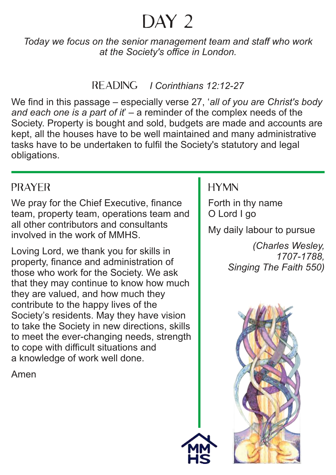# DAY<sub>2</sub>

*Today we focus on the senior management team and staff who work at the Society's office in London.*

#### Reading *I Corinthians 12:12-27*

We find in this passage – especially verse 27, '*all of you are Christ's body and each one is a part of it*' – a reminder of the complex needs of the Society. Property is bought and sold, budgets are made and accounts are kept, all the houses have to be well maintained and many administrative tasks have to be undertaken to fulfil the Society's statutory and legal obligations.

#### **PRAYER**

We pray for the Chief Executive, finance team, property team, operations team and all other contributors and consultants involved in the work of MMHS.

Loving Lord, we thank you for skills in property, finance and administration of those who work for the Society. We ask that they may continue to know how much they are valued, and how much they contribute to the happy lives of the Society's residents. May they have vision to take the Society in new directions, skills to meet the ever-changing needs, strength to cope with difficult situations and a knowledge of work well done.

Amen

## **HYMN**

Forth in thy name O Lord I go My daily labour to pursue *(Charles Wesley,* 

*1707-1788, Singing The Faith 550)*

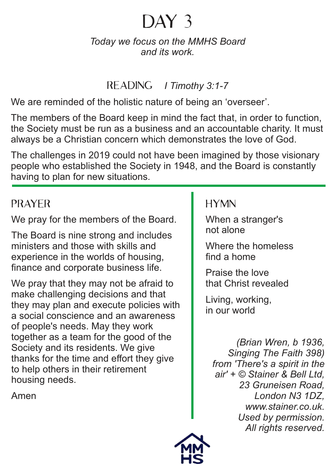#### *Today we focus on the MMHS Board and its work.*

#### Reading *I Timothy 3:1-7*

We are reminded of the holistic nature of being an 'overseer'.

The members of the Board keep in mind the fact that, in order to function, the Society must be run as a business and an accountable charity. It must always be a Christian concern which demonstrates the love of God.

The challenges in 2019 could not have been imagined by those visionary people who established the Society in 1948, and the Board is constantly having to plan for new situations.

## **PRAYER**

We pray for the members of the Board.

The Board is nine strong and includes ministers and those with skills and experience in the worlds of housing, finance and corporate business life.

We pray that they may not be afraid to make challenging decisions and that they may plan and execute policies with a social conscience and an awareness of people's needs. May they work together as a team for the good of the Society and its residents. We give thanks for the time and effort they give to help others in their retirement housing needs.

Amen

## **HYMN**

When a stranger's not alone

Where the homeless find a home

Praise the love that Christ revealed

Living, working, in our world

> *(Brian Wren, b 1936, Singing The Faith 398) from 'There's a spirit in the air' + © Stainer & Bell Ltd, 23 Gruneisen Road, London N3 1DZ, www.stainer.co.uk. Used by permission. All rights reserved.*

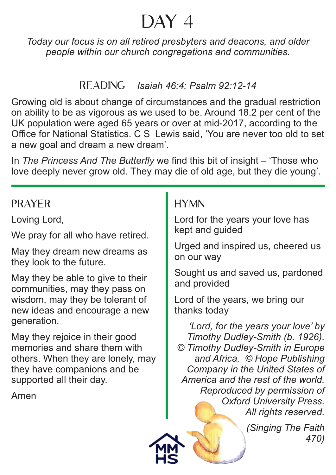# $\overline{\mathrm{DAY}}$  4

*Today our focus is on all retired presbyters and deacons, and older people within our church congregations and communities.*

#### Reading *Isaiah 46:4; Psalm 92:12-14*

Growing old is about change of circumstances and the gradual restriction on ability to be as vigorous as we used to be. Around 18.2 per cent of the UK population were aged 65 years or over at mid-2017, according to the Office for National Statistics. C S Lewis said, 'You are never too old to set a new goal and dream a new dream'.

In *The Princess And The Butterfly* we find this bit of insight – 'Those who love deeply never grow old. They may die of old age, but they die young'.

#### **PRAYER**

Loving Lord,

We pray for all who have retired.

May they dream new dreams as they look to the future.

May they be able to give to their communities, may they pass on wisdom, may they be tolerant of new ideas and encourage a new generation.

May they rejoice in their good memories and share them with others. When they are lonely, may they have companions and be supported all their day.

Amen

## **HYMN**

Lord for the years your love has kept and guided

Urged and inspired us, cheered us on our way

Sought us and saved us, pardoned and provided

Lord of the years, we bring our thanks today

*'Lord, for the years your love' by Timothy Dudley-Smith (b. 1926). © Timothy Dudley-Smith in Europe and Africa. © Hope Publishing Company in the United States of America and the rest of the world. Reproduced by permission of Oxford University Press. All rights reserved.*

> *(Singing The Faith 470)*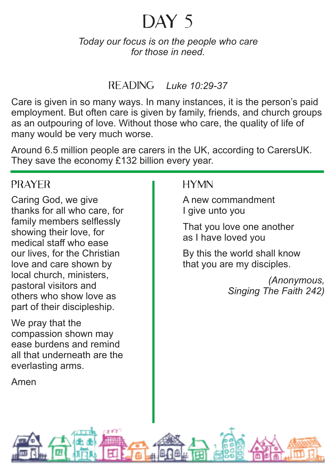#### *Today our focus is on the people who care for those in need.*

#### Reading *Luke 10:29-37*

Care is given in so many ways. In many instances, it is the person's paid employment. But often care is given by family, friends, and church groups as an outpouring of love. Without those who care, the quality of life of many would be very much worse.

Around 6.5 million people are carers in the UK, according to CarersUK. They save the economy £132 billion every year.

#### **PRAYER**

Caring God, we give thanks for all who care, for family members selflessly showing their love, for medical staff who ease our lives, for the Christian love and care shown by local church, ministers, pastoral visitors and others who show love as part of their discipleship.

We pray that the compassion shown may ease burdens and remind all that underneath are the everlasting arms.

Amen

#### **HYMN**

A new commandment I give unto you

That you love one another as I have loved you

By this the world shall know that you are my disciples.

> *(Anonymous, Singing The Faith 242)*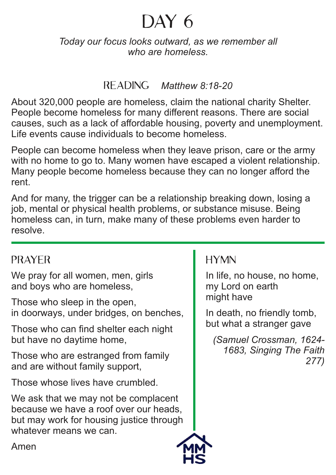*Today our focus looks outward, as we remember all who are homeless.*

#### Reading *Matthew 8:18-20*

About 320,000 people are homeless, claim the national charity Shelter. People become homeless for many different reasons. There are social causes, such as a lack of affordable housing, poverty and unemployment. Life events cause individuals to become homeless.

People can become homeless when they leave prison, care or the army with no home to go to. Many women have escaped a violent relationship. Many people become homeless because they can no longer afford the rent.

And for many, the trigger can be a relationship breaking down, losing a job, mental or physical health problems, or substance misuse. Being homeless can, in turn, make many of these problems even harder to resolve.

## Prayer

We pray for all women, men, girls and boys who are homeless,

Those who sleep in the open, in doorways, under bridges, on benches,

Those who can find shelter each night but have no daytime home,

Those who are estranged from family and are without family support,

Those whose lives have crumbled.

We ask that we may not be complacent because we have a roof over our heads, but may work for housing justice through whatever means we can.

## **HYMN**

In life, no house, no home, my Lord on earth might have

In death, no friendly tomb, but what a stranger gave

*(Samuel Crossman, 1624- 1683, Singing The Faith 277)*



Amen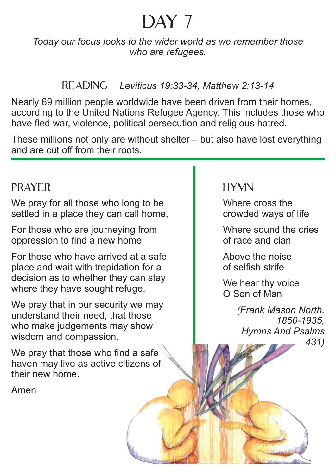# DAY<sub>7</sub>

*Today our focus looks to the wider world as we remember those who are refugees.*

#### Reading *Leviticus 19:33-34, Matthew 2:13-14*

Nearly 69 million people worldwide have been driven from their homes, according to the United Nations Refugee Agency. This includes those who have fled war, violence, political persecution and religious hatred.

These millions not only are without shelter – but also have lost everything and are cut off from their roots.

## **PRAYER**

We pray for all those who long to be settled in a place they can call home,

For those who are journeying from oppression to find a new home,

For those who have arrived at a safe place and wait with trepidation for a decision as to whether they can stay where they have sought refuge.

We pray that in our security we may understand their need, that those who make judgements may show wisdom and compassion.

We pray that those who find a safe haven may live as active citizens of their new home.

Amen

#### **HYMN**

Where cross the crowded ways of life

Where sound the cries of race and clan

Above the noise of selfish strife

We hear thy voice O Son of Man

> *(Frank Mason North, 1850-1935, Hymns And Psalms 431)*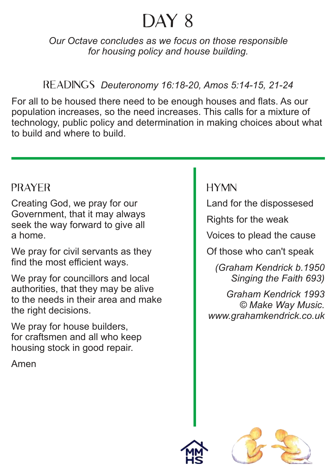# $\triangle$ <sup> $\triangle$ </sup> 8

*Our Octave concludes as we focus on those responsible for housing policy and house building.*

Readings *Deuteronomy 16:18-20, Amos 5:14-15, 21-24*

For all to be housed there need to be enough houses and flats. As our population increases, so the need increases. This calls for a mixture of technology, public policy and determination in making choices about what to build and where to build.

## **PRAYER**

Creating God, we pray for our Government, that it may always seek the way forward to give all a home.

We pray for civil servants as they find the most efficient ways.

We pray for councillors and local authorities, that they may be alive to the needs in their area and make the right decisions.

We pray for house builders, for craftsmen and all who keep housing stock in good repair.

Amen

## **HYMN**

Land for the dispossesed

Rights for the weak

Voices to plead the cause

Of those who can't speak

*(Graham Kendrick b.1950 Singing the Faith 693)*

*Graham Kendrick 1993 © Make Way Music. www.grahamkendrick.co.uk*